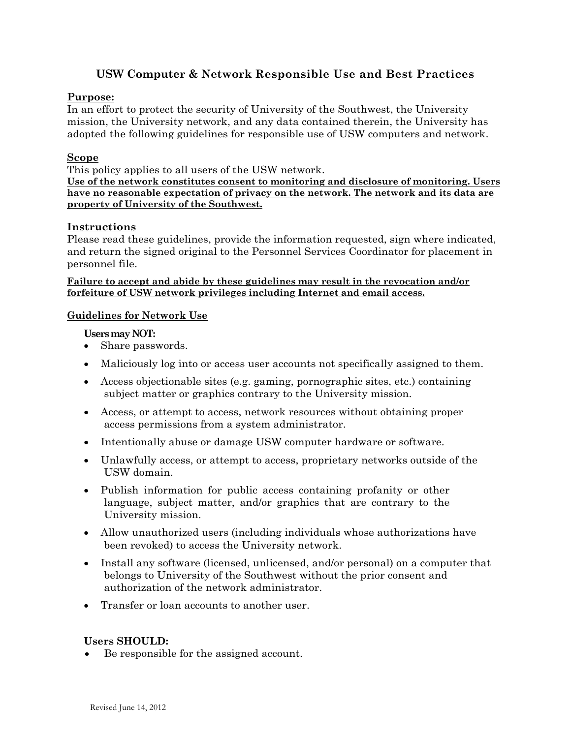# **USW Computer & Network Responsible Use and Best Practices**

# **Purpose:**

In an effort to protect the security of University of the Southwest, the University mission, the University network, and any data contained therein, the University has adopted the following guidelines for responsible use of USW computers and network.

# **Scope**

This policy applies to all users of the USW network.

**Use of the network constitutes consent to monitoring and disclosure of monitoring. Users have no reasonable expectation of privacy on the network. The network and its data are property of University of the Southwest.**

# **Instructions**

Please read these guidelines, provide the information requested, sign where indicated, and return the signed original to the Personnel Services Coordinator for placement in personnel file.

#### **Failure to accept and abide by these guidelines may result in the revocation and/or forfeiture of USW network privileges including Internet and email access.**

# **Guidelines for Network Use**

# **Users may NOT:**

- Share passwords.
- Maliciously log into or access user accounts not specifically assigned to them.
- Access objectionable sites (e.g. gaming, pornographic sites, etc.) containing subject matter or graphics contrary to the University mission.
- Access, or attempt to access, network resources without obtaining proper access permissions from a system administrator.
- Intentionally abuse or damage USW computer hardware or software.
- Unlawfully access, or attempt to access, proprietary networks outside of the USW domain.
- Publish information for public access containing profanity or other language, subject matter, and/or graphics that are contrary to the University mission.
- Allow unauthorized users (including individuals whose authorizations have been revoked) to access the University network.
- Install any software (licensed, unlicensed, and/or personal) on a computer that belongs to University of the Southwest without the prior consent and authorization of the network administrator.
- Transfer or loan accounts to another user.

# **Users SHOULD:**

Be responsible for the assigned account.